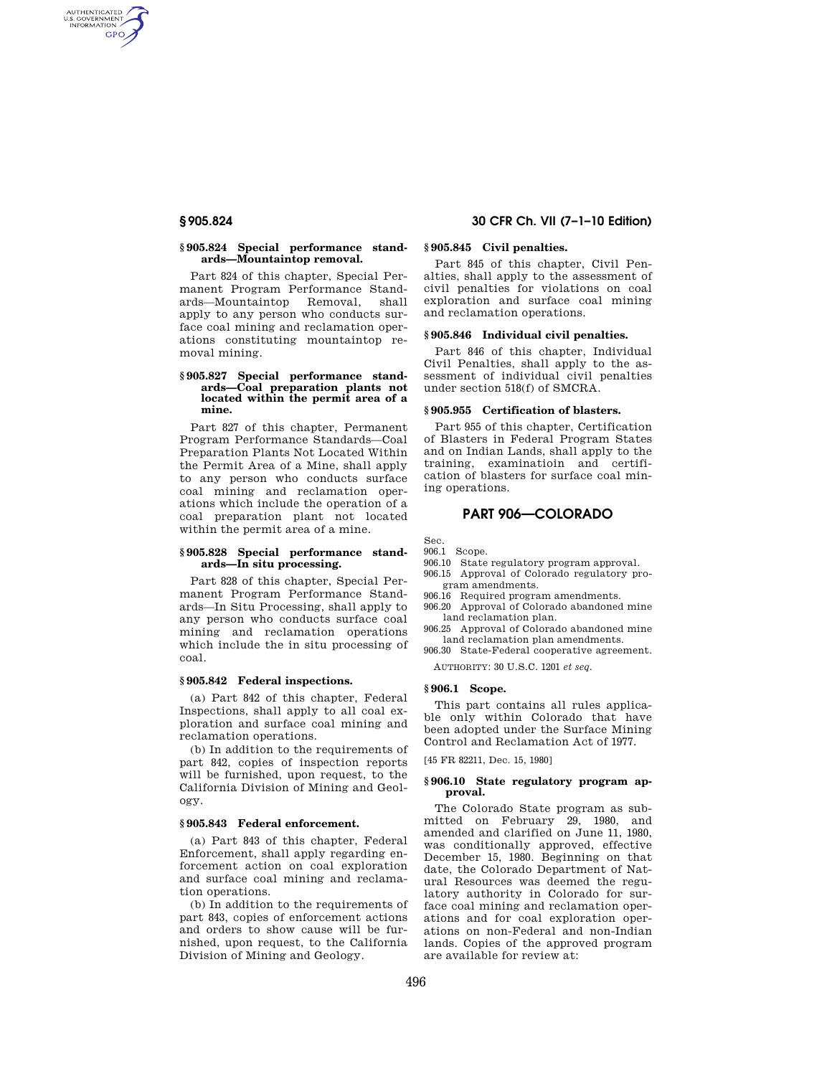AUTHENTICATED<br>U.S. GOVERNMENT<br>INFORMATION GPO

### **§ 905.824 Special performance standards—Mountaintop removal.**

Part 824 of this chapter, Special Permanent Program Performance Standards—Mountaintop Removal, shall apply to any person who conducts surface coal mining and reclamation operations constituting mountaintop removal mining.

### **§ 905.827 Special performance standards—Coal preparation plants not located within the permit area of a mine.**

Part 827 of this chapter, Permanent Program Performance Standards—Coal Preparation Plants Not Located Within the Permit Area of a Mine, shall apply to any person who conducts surface coal mining and reclamation operations which include the operation of a coal preparation plant not located within the permit area of a mine.

#### **§ 905.828 Special performance standards—In situ processing.**

Part 828 of this chapter, Special Permanent Program Performance Standards—In Situ Processing, shall apply to any person who conducts surface coal mining and reclamation operations which include the in situ processing of coal.

## **§ 905.842 Federal inspections.**

(a) Part 842 of this chapter, Federal Inspections, shall apply to all coal exploration and surface coal mining and reclamation operations.

(b) In addition to the requirements of part 842, copies of inspection reports will be furnished, upon request, to the California Division of Mining and Geology.

## **§ 905.843 Federal enforcement.**

(a) Part 843 of this chapter, Federal Enforcement, shall apply regarding enforcement action on coal exploration and surface coal mining and reclamation operations.

(b) In addition to the requirements of part 843, copies of enforcement actions and orders to show cause will be furnished, upon request, to the California Division of Mining and Geology.

# **§ 905.824 30 CFR Ch. VII (7–1–10 Edition)**

# **§ 905.845 Civil penalties.**

Part 845 of this chapter, Civil Penalties, shall apply to the assessment of civil penalties for violations on coal exploration and surface coal mining and reclamation operations.

#### **§ 905.846 Individual civil penalties.**

Part 846 of this chapter, Individual Civil Penalties, shall apply to the assessment of individual civil penalties under section 518(f) of SMCRA.

#### **§ 905.955 Certification of blasters.**

Part 955 of this chapter, Certification of Blasters in Federal Program States and on Indian Lands, shall apply to the training, examinatioin and certification of blasters for surface coal mining operations.

# **PART 906—COLORADO**

Sec.

906.1 Scope.

- 906.10 State regulatory program approval.
- 906.15 Approval of Colorado regulatory program amendments.
- 906.16 Required program amendments.
- 906.20 Approval of Colorado abandoned mine land reclamation plan.
- 906.25 Approval of Colorado abandoned mine land reclamation plan amendments.
- 906.30 State-Federal cooperative agreement.

AUTHORITY: 30 U.S.C. 1201 *et seq.* 

# **§ 906.1 Scope.**

This part contains all rules applicable only within Colorado that have been adopted under the Surface Mining Control and Reclamation Act of 1977.

[45 FR 82211, Dec. 15, 1980]

### **§ 906.10 State regulatory program approval.**

The Colorado State program as submitted on February 29, 1980, and amended and clarified on June 11, 1980, was conditionally approved, effective December 15, 1980. Beginning on that date, the Colorado Department of Natural Resources was deemed the regulatory authority in Colorado for surface coal mining and reclamation operations and for coal exploration operations on non-Federal and non-Indian lands. Copies of the approved program are available for review at: